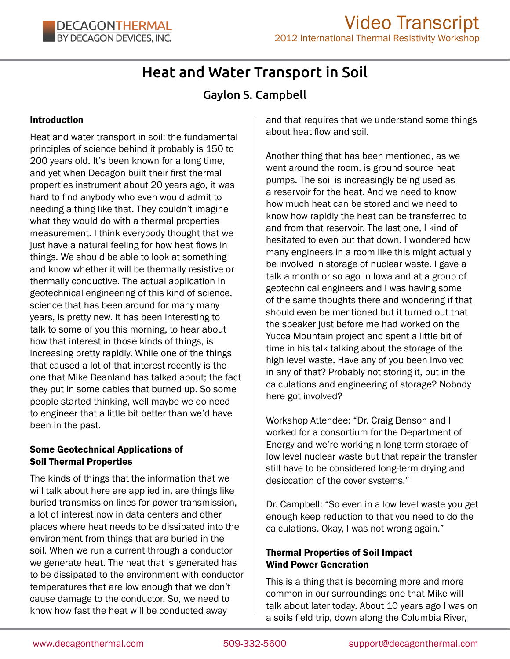# Heat and Water Transport in Soil

# Gaylon S. Campbell

#### Introduction

Heat and water transport in soil; the fundamental principles of science behind it probably is 150 to 200 years old. It's been known for a long time, and yet when Decagon built their first thermal properties instrument about 20 years ago, it was hard to find anybody who even would admit to needing a thing like that. They couldn't imagine what they would do with a thermal properties measurement. I think everybody thought that we just have a natural feeling for how heat flows in things. We should be able to look at something and know whether it will be thermally resistive or thermally conductive. The actual application in geotechnical engineering of this kind of science, science that has been around for many many years, is pretty new. It has been interesting to talk to some of you this morning, to hear about how that interest in those kinds of things, is increasing pretty rapidly. While one of the things that caused a lot of that interest recently is the one that Mike Beanland has talked about; the fact they put in some cables that burned up. So some people started thinking, well maybe we do need to engineer that a little bit better than we'd have been in the past.

#### Some Geotechnical Applications of Soil Thermal Properties

The kinds of things that the information that we will talk about here are applied in, are things like buried transmission lines for power transmission, a lot of interest now in data centers and other places where heat needs to be dissipated into the environment from things that are buried in the soil. When we run a current through a conductor we generate heat. The heat that is generated has to be dissipated to the environment with conductor temperatures that are low enough that we don't cause damage to the conductor. So, we need to know how fast the heat will be conducted away

and that requires that we understand some things about heat flow and soil.

Another thing that has been mentioned, as we went around the room, is ground source heat pumps. The soil is increasingly being used as a reservoir for the heat. And we need to know how much heat can be stored and we need to know how rapidly the heat can be transferred to and from that reservoir. The last one, I kind of hesitated to even put that down. I wondered how many engineers in a room like this might actually be involved in storage of nuclear waste. I gave a talk a month or so ago in Iowa and at a group of geotechnical engineers and I was having some of the same thoughts there and wondering if that should even be mentioned but it turned out that the speaker just before me had worked on the Yucca Mountain project and spent a little bit of time in his talk talking about the storage of the high level waste. Have any of you been involved in any of that? Probably not storing it, but in the calculations and engineering of storage? Nobody here got involved?

Workshop Attendee: "Dr. Craig Benson and I worked for a consortium for the Department of Energy and we're working n long-term storage of low level nuclear waste but that repair the transfer still have to be considered long-term drying and desiccation of the cover systems."

Dr. Campbell: "So even in a low level waste you get enough keep reduction to that you need to do the calculations. Okay, I was not wrong again."

# Thermal Properties of Soil Impact Wind Power Generation

This is a thing that is becoming more and more common in our surroundings one that Mike will talk about later today. About 10 years ago I was on a soils field trip, down along the Columbia River,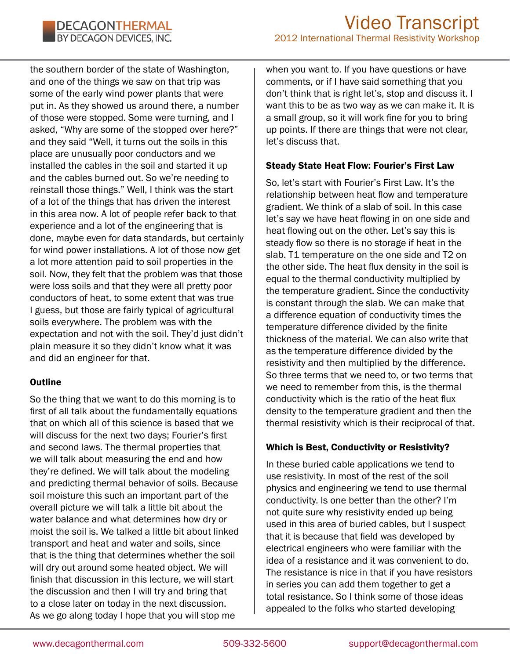the southern border of the state of Washington, and one of the things we saw on that trip was some of the early wind power plants that were put in. As they showed us around there, a number of those were stopped. Some were turning, and I asked, "Why are some of the stopped over here?" and they said "Well, it turns out the soils in this place are unusually poor conductors and we installed the cables in the soil and started it up and the cables burned out. So we're needing to reinstall those things." Well, I think was the start of a lot of the things that has driven the interest in this area now. A lot of people refer back to that experience and a lot of the engineering that is done, maybe even for data standards, but certainly for wind power installations. A lot of those now get a lot more attention paid to soil properties in the soil. Now, they felt that the problem was that those were loss soils and that they were all pretty poor conductors of heat, to some extent that was true I guess, but those are fairly typical of agricultural soils everywhere. The problem was with the expectation and not with the soil. They'd just didn't plain measure it so they didn't know what it was and did an engineer for that.

# **Outline**

So the thing that we want to do this morning is to first of all talk about the fundamentally equations that on which all of this science is based that we will discuss for the next two days; Fourier's first and second laws. The thermal properties that we will talk about measuring the end and how they're defined. We will talk about the modeling and predicting thermal behavior of soils. Because soil moisture this such an important part of the overall picture we will talk a little bit about the water balance and what determines how dry or moist the soil is. We talked a little bit about linked transport and heat and water and soils, since that is the thing that determines whether the soil will dry out around some heated object. We will finish that discussion in this lecture, we will start the discussion and then I will try and bring that to a close later on today in the next discussion. As we go along today I hope that you will stop me

when you want to. If you have questions or have comments, or if I have said something that you don't think that is right let's, stop and discuss it. I want this to be as two way as we can make it. It is a small group, so it will work fine for you to bring up points. If there are things that were not clear, let's discuss that.

# Steady State Heat Flow: Fourier's First Law

So, let's start with Fourier's First Law. It's the relationship between heat flow and temperature gradient. We think of a slab of soil. In this case let's say we have heat flowing in on one side and heat flowing out on the other. Let's say this is steady flow so there is no storage if heat in the slab. T1 temperature on the one side and T2 on the other side. The heat flux density in the soil is equal to the thermal conductivity multiplied by the temperature gradient. Since the conductivity is constant through the slab. We can make that a difference equation of conductivity times the temperature difference divided by the finite thickness of the material. We can also write that as the temperature difference divided by the resistivity and then multiplied by the difference. So three terms that we need to, or two terms that we need to remember from this, is the thermal conductivity which is the ratio of the heat flux density to the temperature gradient and then the thermal resistivity which is their reciprocal of that.

# Which is Best, Conductivity or Resistivity?

In these buried cable applications we tend to use resistivity. In most of the rest of the soil physics and engineering we tend to use thermal conductivity. Is one better than the other? I'm not quite sure why resistivity ended up being used in this area of buried cables, but I suspect that it is because that field was developed by electrical engineers who were familiar with the idea of a resistance and it was convenient to do. The resistance is nice in that if you have resistors in series you can add them together to get a total resistance. So I think some of those ideas appealed to the folks who started developing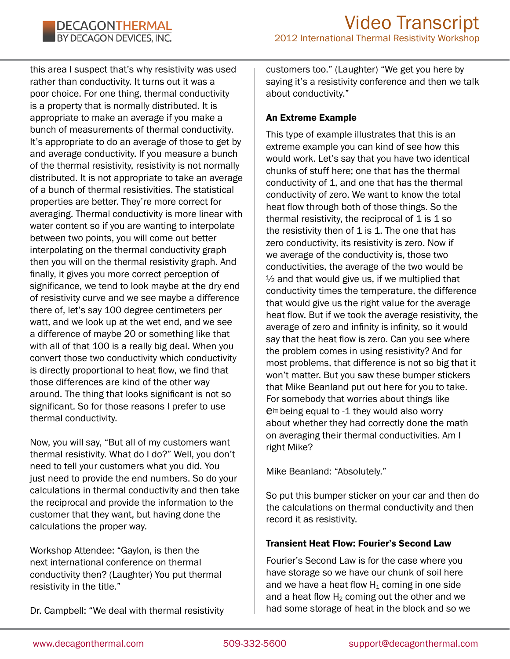this area I suspect that's why resistivity was used rather than conductivity. It turns out it was a poor choice. For one thing, thermal conductivity is a property that is normally distributed. It is appropriate to make an average if you make a bunch of measurements of thermal conductivity. It's appropriate to do an average of those to get by and average conductivity. If you measure a bunch of the thermal resistivity, resistivity is not normally distributed. It is not appropriate to take an average of a bunch of thermal resistivities. The statistical properties are better. They're more correct for averaging. Thermal conductivity is more linear with water content so if you are wanting to interpolate between two points, you will come out better interpolating on the thermal conductivity graph then you will on the thermal resistivity graph. And finally, it gives you more correct perception of significance, we tend to look maybe at the dry end of resistivity curve and we see maybe a difference there of, let's say 100 degree centimeters per watt, and we look up at the wet end, and we see a difference of maybe 20 or something like that with all of that 100 is a really big deal. When you convert those two conductivity which conductivity is directly proportional to heat flow, we find that those differences are kind of the other way around. The thing that looks significant is not so significant. So for those reasons I prefer to use thermal conductivity.

Now, you will say, "But all of my customers want thermal resistivity. What do I do?" Well, you don't need to tell your customers what you did. You just need to provide the end numbers. So do your calculations in thermal conductivity and then take the reciprocal and provide the information to the customer that they want, but having done the calculations the proper way.

Workshop Attendee: "Gaylon, is then the next international conference on thermal conductivity then? (Laughter) You put thermal resistivity in the title."

customers too." (Laughter) "We get you here by saying it's a resistivity conference and then we talk about conductivity."

# An Extreme Example

This type of example illustrates that this is an extreme example you can kind of see how this would work. Let's say that you have two identical chunks of stuff here; one that has the thermal conductivity of 1, and one that has the thermal conductivity of zero. We want to know the total heat flow through both of those things. So the thermal resistivity, the reciprocal of  $1$  is  $1$  so the resistivity then of  $1$  is  $1$ . The one that has zero conductivity, its resistivity is zero. Now if we average of the conductivity is, those two conductivities, the average of the two would be  $\frac{1}{2}$  and that would give us, if we multiplied that conductivity times the temperature, the difference that would give us the right value for the average heat flow. But if we took the average resistivity, the average of zero and infinity is infinity, so it would say that the heat flow is zero. Can you see where the problem comes in using resistivity? And for most problems, that difference is not so big that it won't matter. But you saw these bumper stickers that Mike Beanland put out here for you to take. For somebody that worries about things like  $e^{i\pi}$  being equal to -1 they would also worry about whether they had correctly done the math on averaging their thermal conductivities. Am I right Mike?

Mike Beanland: "Absolutely."

So put this bumper sticker on your car and then do the calculations on thermal conductivity and then record it as resistivity.

# Transient Heat Flow: Fourier's Second Law

Fourier's Second Law is for the case where you have storage so we have our chunk of soil here and we have a heat flow  $H_1$  coming in one side and a heat flow  $H_2$  coming out the other and we had some storage of heat in the block and so we

Dr. Campbell: "We deal with thermal resistivity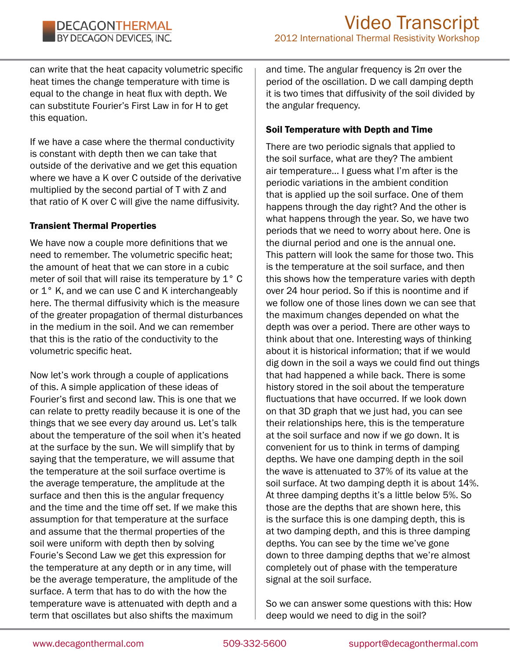can write that the heat capacity volumetric specific heat times the change temperature with time is equal to the change in heat flux with depth. We can substitute Fourier's First Law in for H to get this equation.

If we have a case where the thermal conductivity is constant with depth then we can take that outside of the derivative and we get this equation where we have a K over C outside of the derivative multiplied by the second partial of T with Z and that ratio of K over C will give the name diffusivity.

#### Transient Thermal Properties

We have now a couple more definitions that we need to remember. The volumetric specific heat; the amount of heat that we can store in a cubic meter of soil that will raise its temperature by 1° C or 1° K, and we can use C and K interchangeably here. The thermal diffusivity which is the measure of the greater propagation of thermal disturbances in the medium in the soil. And we can remember that this is the ratio of the conductivity to the volumetric specific heat.

Now let's work through a couple of applications of this. A simple application of these ideas of Fourier's first and second law. This is one that we can relate to pretty readily because it is one of the things that we see every day around us. Let's talk about the temperature of the soil when it's heated at the surface by the sun. We will simplify that by saying that the temperature, we will assume that the temperature at the soil surface overtime is the average temperature, the amplitude at the surface and then this is the angular frequency and the time and the time off set. If we make this assumption for that temperature at the surface and assume that the thermal properties of the soil were uniform with depth then by solving Fourie's Second Law we get this expression for the temperature at any depth or in any time, will be the average temperature, the amplitude of the surface. A term that has to do with the how the temperature wave is attenuated with depth and a term that oscillates but also shifts the maximum

and time. The angular frequency is 2π over the period of the oscillation. D we call damping depth it is two times that diffusivity of the soil divided by the angular frequency.

#### Soil Temperature with Depth and Time

There are two periodic signals that applied to the soil surface, what are they? The ambient air temperature… I guess what I'm after is the periodic variations in the ambient condition that is applied up the soil surface. One of them happens through the day right? And the other is what happens through the year. So, we have two periods that we need to worry about here. One is the diurnal period and one is the annual one. This pattern will look the same for those two. This is the temperature at the soil surface, and then this shows how the temperature varies with depth over 24 hour period. So if this is noontime and if we follow one of those lines down we can see that the maximum changes depended on what the depth was over a period. There are other ways to think about that one. Interesting ways of thinking about it is historical information; that if we would dig down in the soil a ways we could find out things that had happened a while back. There is some history stored in the soil about the temperature fluctuations that have occurred. If we look down on that 3D graph that we just had, you can see their relationships here, this is the temperature at the soil surface and now if we go down. It is convenient for us to think in terms of damping depths. We have one damping depth in the soil the wave is attenuated to 37% of its value at the soil surface. At two damping depth it is about 14%. At three damping depths it's a little below 5%. So those are the depths that are shown here, this is the surface this is one damping depth, this is at two damping depth, and this is three damping depths. You can see by the time we've gone down to three damping depths that we're almost completely out of phase with the temperature signal at the soil surface.

So we can answer some questions with this: How deep would we need to dig in the soil?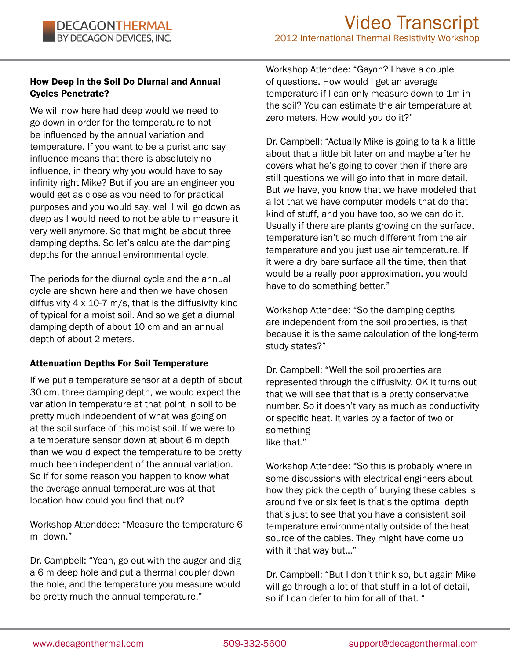#### How Deep in the Soil Do Diurnal and Annual Cycles Penetrate?

We will now here had deep would we need to go down in order for the temperature to not be influenced by the annual variation and temperature. If you want to be a purist and say influence means that there is absolutely no influence, in theory why you would have to say infinity right Mike? But if you are an engineer you would get as close as you need to for practical purposes and you would say, well I will go down as deep as I would need to not be able to measure it very well anymore. So that might be about three damping depths. So let's calculate the damping depths for the annual environmental cycle.

The periods for the diurnal cycle and the annual cycle are shown here and then we have chosen diffusivity 4 x 10-7 m/s, that is the diffusivity kind of typical for a moist soil. And so we get a diurnal damping depth of about 10 cm and an annual depth of about 2 meters.

#### Attenuation Depths For Soil Temperature

If we put a temperature sensor at a depth of about 30 cm, three damping depth, we would expect the variation in temperature at that point in soil to be pretty much independent of what was going on at the soil surface of this moist soil. If we were to a temperature sensor down at about 6 m depth than we would expect the temperature to be pretty much been independent of the annual variation. So if for some reason you happen to know what the average annual temperature was at that location how could you find that out?

Workshop Attenddee: "Measure the temperature 6 m down."

Dr. Campbell: "Yeah, go out with the auger and dig a 6 m deep hole and put a thermal coupler down the hole, and the temperature you measure would be pretty much the annual temperature."

Workshop Attendee: "Gayon? I have a couple of questions. How would I get an average temperature if I can only measure down to 1m in the soil? You can estimate the air temperature at zero meters. How would you do it?"

Dr. Campbell: "Actually Mike is going to talk a little about that a little bit later on and maybe after he covers what he's going to cover then if there are still questions we will go into that in more detail. But we have, you know that we have modeled that a lot that we have computer models that do that kind of stuff, and you have too, so we can do it. Usually if there are plants growing on the surface, temperature isn't so much different from the air temperature and you just use air temperature. If it were a dry bare surface all the time, then that would be a really poor approximation, you would have to do something better."

Workshop Attendee: "So the damping depths are independent from the soil properties, is that because it is the same calculation of the long-term study states?"

Dr. Campbell: "Well the soil properties are represented through the diffusivity. OK it turns out that we will see that that is a pretty conservative number. So it doesn't vary as much as conductivity or specific heat. It varies by a factor of two or something like that."

Workshop Attendee: "So this is probably where in some discussions with electrical engineers about how they pick the depth of burying these cables is around five or six feet is that's the optimal depth that's just to see that you have a consistent soil temperature environmentally outside of the heat source of the cables. They might have come up with it that way but…"

Dr. Campbell: "But I don't think so, but again Mike will go through a lot of that stuff in a lot of detail, so if I can defer to him for all of that. "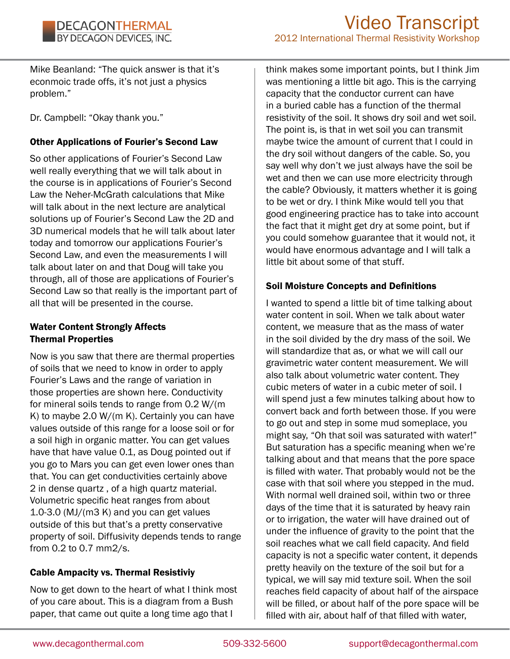Mike Beanland: "The quick answer is that it's econmoic trade offs, it's not just a physics problem."

Dr. Campbell: "Okay thank you."

# Other Applications of Fourier's Second Law

So other applications of Fourier's Second Law well really everything that we will talk about in the course is in applications of Fourier's Second Law the Neher-McGrath calculations that Mike will talk about in the next lecture are analytical solutions up of Fourier's Second Law the 2D and 3D numerical models that he will talk about later today and tomorrow our applications Fourier's Second Law, and even the measurements I will talk about later on and that Doug will take you through, all of those are applications of Fourier's Second Law so that really is the important part of all that will be presented in the course.

# Water Content Strongly Affects Thermal Properties

Now is you saw that there are thermal properties of soils that we need to know in order to apply Fourier's Laws and the range of variation in those properties are shown here. Conductivity for mineral soils tends to range from 0.2 W/(m K) to maybe 2.0 W/(m K). Certainly you can have values outside of this range for a loose soil or for a soil high in organic matter. You can get values have that have value 0.1, as Doug pointed out if you go to Mars you can get even lower ones than that. You can get conductivities certainly above 2 in dense quartz , of a high quartz material. Volumetric specific heat ranges from about 1.0-3.0 (MJ/(m3 K) and you can get values outside of this but that's a pretty conservative property of soil. Diffusivity depends tends to range from 0.2 to 0.7 mm2/s.

# Cable Ampacity vs. Thermal Resistiviy

Now to get down to the heart of what I think most of you care about. This is a diagram from a Bush paper, that came out quite a long time ago that I

think makes some important points, but I think Jim was mentioning a little bit ago. This is the carrying capacity that the conductor current can have in a buried cable has a function of the thermal resistivity of the soil. It shows dry soil and wet soil. The point is, is that in wet soil you can transmit maybe twice the amount of current that I could in the dry soil without dangers of the cable. So, you say well why don't we just always have the soil be wet and then we can use more electricity through the cable? Obviously, it matters whether it is going to be wet or dry. I think Mike would tell you that good engineering practice has to take into account the fact that it might get dry at some point, but if you could somehow guarantee that it would not, it would have enormous advantage and I will talk a little bit about some of that stuff.

# Soil Moisture Concepts and Definitions

I wanted to spend a little bit of time talking about water content in soil. When we talk about water content, we measure that as the mass of water in the soil divided by the dry mass of the soil. We will standardize that as, or what we will call our gravimetric water content measurement. We will also talk about volumetric water content. They cubic meters of water in a cubic meter of soil. I will spend just a few minutes talking about how to convert back and forth between those. If you were to go out and step in some mud someplace, you might say, "Oh that soil was saturated with water!" But saturation has a specific meaning when we're talking about and that means that the pore space is filled with water. That probably would not be the case with that soil where you stepped in the mud. With normal well drained soil, within two or three days of the time that it is saturated by heavy rain or to irrigation, the water will have drained out of under the influence of gravity to the point that the soil reaches what we call field capacity. And field capacity is not a specific water content, it depends pretty heavily on the texture of the soil but for a typical, we will say mid texture soil. When the soil reaches field capacity of about half of the airspace will be filled, or about half of the pore space will be filled with air, about half of that filled with water,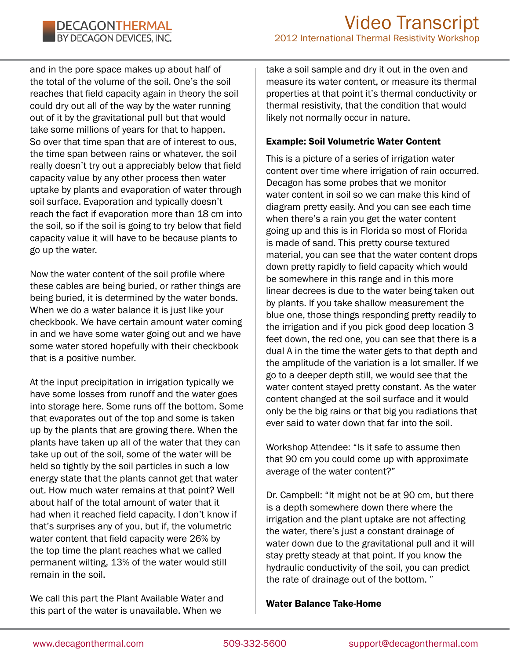and in the pore space makes up about half of the total of the volume of the soil. One's the soil reaches that field capacity again in theory the soil could dry out all of the way by the water running out of it by the gravitational pull but that would take some millions of years for that to happen. So over that time span that are of interest to ous, the time span between rains or whatever, the soil really doesn't try out a appreciably below that field capacity value by any other process then water uptake by plants and evaporation of water through soil surface. Evaporation and typically doesn't reach the fact if evaporation more than 18 cm into the soil, so if the soil is going to try below that field capacity value it will have to be because plants to go up the water.

Now the water content of the soil profile where these cables are being buried, or rather things are being buried, it is determined by the water bonds. When we do a water balance it is just like your checkbook. We have certain amount water coming in and we have some water going out and we have some water stored hopefully with their checkbook that is a positive number.

At the input precipitation in irrigation typically we have some losses from runoff and the water goes into storage here. Some runs off the bottom. Some that evaporates out of the top and some is taken up by the plants that are growing there. When the plants have taken up all of the water that they can take up out of the soil, some of the water will be held so tightly by the soil particles in such a low energy state that the plants cannot get that water out. How much water remains at that point? Well about half of the total amount of water that it had when it reached field capacity. I don't know if that's surprises any of you, but if, the volumetric water content that field capacity were 26% by the top time the plant reaches what we called permanent wilting, 13% of the water would still remain in the soil.

We call this part the Plant Available Water and this part of the water is unavailable. When we

take a soil sample and dry it out in the oven and measure its water content, or measure its thermal properties at that point it's thermal conductivity or thermal resistivity, that the condition that would likely not normally occur in nature.

#### Example: Soil Volumetric Water Content

This is a picture of a series of irrigation water content over time where irrigation of rain occurred. Decagon has some probes that we monitor water content in soil so we can make this kind of diagram pretty easily. And you can see each time when there's a rain you get the water content going up and this is in Florida so most of Florida is made of sand. This pretty course textured material, you can see that the water content drops down pretty rapidly to field capacity which would be somewhere in this range and in this more linear decrees is due to the water being taken out by plants. If you take shallow measurement the blue one, those things responding pretty readily to the irrigation and if you pick good deep location 3 feet down, the red one, you can see that there is a dual A in the time the water gets to that depth and the amplitude of the variation is a lot smaller. If we go to a deeper depth still, we would see that the water content stayed pretty constant. As the water content changed at the soil surface and it would only be the big rains or that big you radiations that ever said to water down that far into the soil.

Workshop Attendee: "Is it safe to assume then that 90 cm you could come up with approximate average of the water content?"

Dr. Campbell: "It might not be at 90 cm, but there is a depth somewhere down there where the irrigation and the plant uptake are not affecting the water, there's just a constant drainage of water down due to the gravitational pull and it will stay pretty steady at that point. If you know the hydraulic conductivity of the soil, you can predict the rate of drainage out of the bottom. "

#### Water Balance Take-Home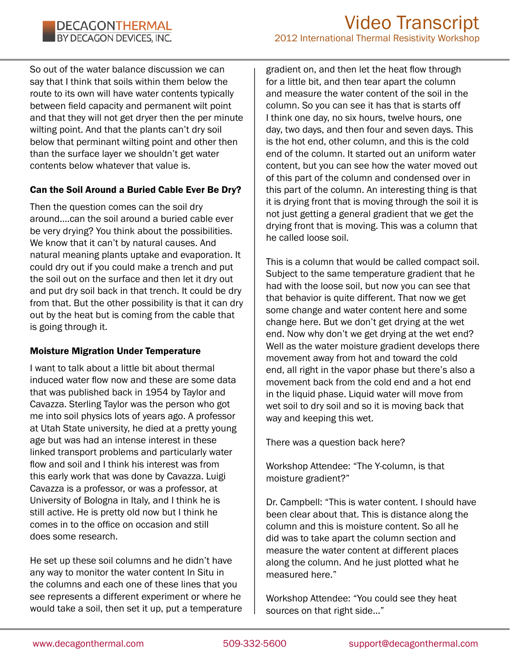So out of the water balance discussion we can say that I think that soils within them below the route to its own will have water contents typically between field capacity and permanent wilt point and that they will not get dryer then the per minute wilting point. And that the plants can't dry soil below that perminant wilting point and other then than the surface layer we shouldn't get water contents below whatever that value is.

# Can the Soil Around a Buried Cable Ever Be Dry?

Then the question comes can the soil dry around….can the soil around a buried cable ever be very drying? You think about the possibilities. We know that it can't by natural causes. And natural meaning plants uptake and evaporation. It could dry out if you could make a trench and put the soil out on the surface and then let it dry out and put dry soil back in that trench. It could be dry from that. But the other possibility is that it can dry out by the heat but is coming from the cable that is going through it.

# Moisture Migration Under Temperature

I want to talk about a little bit about thermal induced water flow now and these are some data that was published back in 1954 by Taylor and Cavazza. Sterling Taylor was the person who got me into soil physics lots of years ago. A professor at Utah State university, he died at a pretty young age but was had an intense interest in these linked transport problems and particularly water flow and soil and I think his interest was from this early work that was done by Cavazza. Luigi Cavazza is a professor, or was a professor, at University of Bologna in Italy, and I think he is still active. He is pretty old now but I think he comes in to the office on occasion and still does some research.

He set up these soil columns and he didn't have any way to monitor the water content In Situ in the columns and each one of these lines that you see represents a different experiment or where he would take a soil, then set it up, put a temperature

gradient on, and then let the heat flow through for a little bit, and then tear apart the column and measure the water content of the soil in the column. So you can see it has that is starts off I think one day, no six hours, twelve hours, one day, two days, and then four and seven days. This is the hot end, other column, and this is the cold end of the column. It started out an uniform water content, but you can see how the water moved out of this part of the column and condensed over in this part of the column. An interesting thing is that it is drying front that is moving through the soil it is not just getting a general gradient that we get the drying front that is moving. This was a column that he called loose soil.

This is a column that would be called compact soil. Subject to the same temperature gradient that he had with the loose soil, but now you can see that that behavior is quite different. That now we get some change and water content here and some change here. But we don't get drying at the wet end. Now why don't we get drying at the wet end? Well as the water moisture gradient develops there movement away from hot and toward the cold end, all right in the vapor phase but there's also a movement back from the cold end and a hot end in the liquid phase. Liquid water will move from wet soil to dry soil and so it is moving back that way and keeping this wet.

There was a question back here?

Workshop Attendee: "The Y-column, is that moisture gradient?"

Dr. Campbell: "This is water content. I should have been clear about that. This is distance along the column and this is moisture content. So all he did was to take apart the column section and measure the water content at different places along the column. And he just plotted what he measured here."

Workshop Attendee: "You could see they heat sources on that right side…"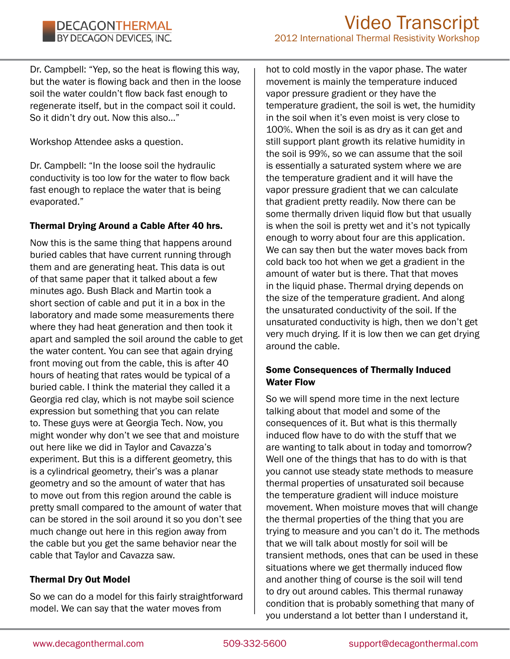Dr. Campbell: "Yep, so the heat is flowing this way, but the water is flowing back and then in the loose soil the water couldn't flow back fast enough to regenerate itself, but in the compact soil it could. So it didn't dry out. Now this also…"

Workshop Attendee asks a question.

Dr. Campbell: "In the loose soil the hydraulic conductivity is too low for the water to flow back fast enough to replace the water that is being evaporated."

# Thermal Drying Around a Cable After 40 hrs.

Now this is the same thing that happens around buried cables that have current running through them and are generating heat. This data is out of that same paper that it talked about a few minutes ago. Bush Black and Martin took a short section of cable and put it in a box in the laboratory and made some measurements there where they had heat generation and then took it apart and sampled the soil around the cable to get the water content. You can see that again drying front moving out from the cable, this is after 40 hours of heating that rates would be typical of a buried cable. I think the material they called it a Georgia red clay, which is not maybe soil science expression but something that you can relate to. These guys were at Georgia Tech. Now, you might wonder why don't we see that and moisture out here like we did in Taylor and Cavazza's experiment. But this is a different geometry, this is a cylindrical geometry, their's was a planar geometry and so the amount of water that has to move out from this region around the cable is pretty small compared to the amount of water that can be stored in the soil around it so you don't see much change out here in this region away from the cable but you get the same behavior near the cable that Taylor and Cavazza saw.

# Thermal Dry Out Model

So we can do a model for this fairly straightforward model. We can say that the water moves from

hot to cold mostly in the vapor phase. The water movement is mainly the temperature induced vapor pressure gradient or they have the temperature gradient, the soil is wet, the humidity in the soil when it's even moist is very close to 100%. When the soil is as dry as it can get and still support plant growth its relative humidity in the soil is 99%, so we can assume that the soil is essentially a saturated system where we are the temperature gradient and it will have the vapor pressure gradient that we can calculate that gradient pretty readily. Now there can be some thermally driven liquid flow but that usually is when the soil is pretty wet and it's not typically enough to worry about four are this application. We can say then but the water moves back from cold back too hot when we get a gradient in the amount of water but is there. That that moves in the liquid phase. Thermal drying depends on the size of the temperature gradient. And along the unsaturated conductivity of the soil. If the unsaturated conductivity is high, then we don't get very much drying. If it is low then we can get drying around the cable.

# Some Consequences of Thermally Induced Water Flow

So we will spend more time in the next lecture talking about that model and some of the consequences of it. But what is this thermally induced flow have to do with the stuff that we are wanting to talk about in today and tomorrow? Well one of the things that has to do with is that you cannot use steady state methods to measure thermal properties of unsaturated soil because the temperature gradient will induce moisture movement. When moisture moves that will change the thermal properties of the thing that you are trying to measure and you can't do it. The methods that we will talk about mostly for soil will be transient methods, ones that can be used in these situations where we get thermally induced flow and another thing of course is the soil will tend to dry out around cables. This thermal runaway condition that is probably something that many of you understand a lot better than I understand it,